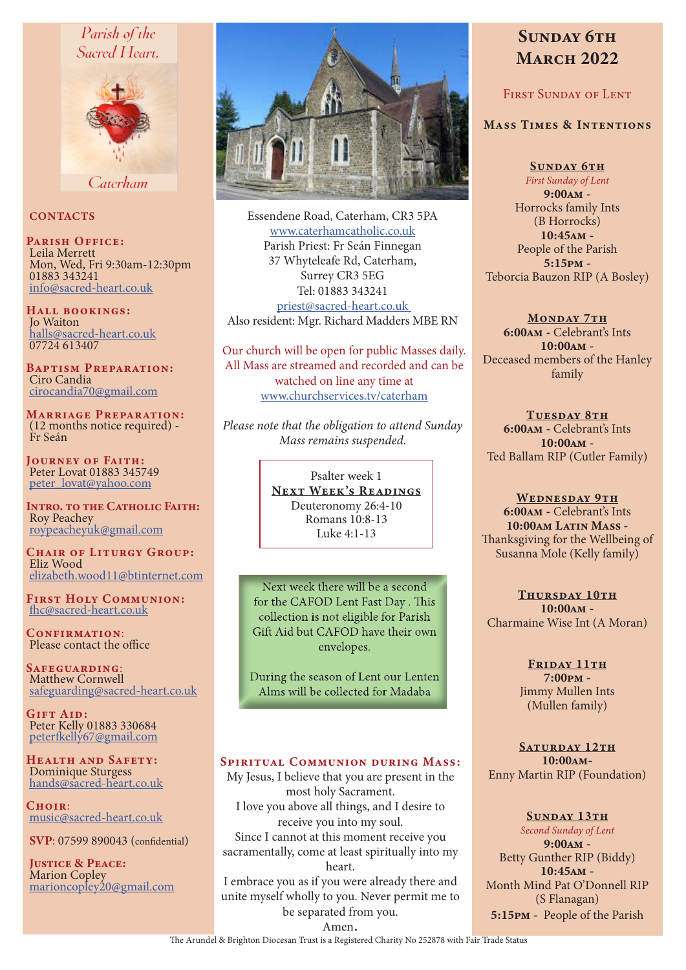# Parish of the Sacred Heart.



Caterham

# **CONTACTS**

PARISH OFFICE: Leila Merrett Mon, Wed, Fri 9:30am-12:30pm 01883 343241 info@sacred-heart.co.uk

Hall bookings: Jo Waiton halls@sacred-heart.co.uk 07724 613407

Baptism Preparation: Ciro Candia cirocandia70@gmail.com

Marriage Preparation: (12 months notice required) - Fr Seán

Journey of Faith: Peter Lovat 01883 345749 peter\_lovat@yahoo.com

INTRO. TO THE CATHOLIC FAITH: Roy Peachey roypeacheyuk@gmail.com

CHAIR OF LITURGY GROUP: Eliz Wood elizabeth.wood11@btinternet.com

First Holy Communion: fhc@sacred-heart.co.uk

CONFIRMATION: Please contact the office

Safeguarding: Matthew Cornwell safeguarding@sacred-heart.co.uk

GIFT AID: Peter Kelly 01883 330684 peterfkelly67@gmail.com

Health and Safety: Dominique Sturgess hands@sacred-heart.co.uk

 $C$ HOIR $\cdot$ music@sacred-heart.co.uk

SVP: 07599 890043 (confidential)

JUSTICE & PEACE: Marion Copley marioncopley20@gmail.com



Essendene Road, Caterham, CR3 5PA www.caterhamcatholic.co.uk Parish Priest: Fr Seán Finnegan 37 Whyteleafe Rd, Caterham, Surrey CR3 5EG Tel: 01883 343241 priest@sacred-heart.co.uk Also resident: Mgr. Richard Madders MBE RN

Our church will be open for public Masses daily. All Mass are streamed and recorded and can be watched on line any time at www.churchservices.tv/caterham

*Please note that the obligation to attend Sunday Mass remains suspended.*

> Psalter week 1 NEXT WEEK'S READINGS Deuteronomy 26:4-10 Romans 10:8-13 Luke 4:1-13

Next week there will be a second for the CAFOD Lent Fast Day . This collection is not eligible for Parish Gift Aid but CAFOD have their own envelopes.

During the season of Lent our Lenten Alms will be collected for Madaba

# Spiritual Communion during Mass:

My Jesus, I believe that you are present in the most holy Sacrament. I love you above all things, and I desire to receive you into my soul. Since I cannot at this moment receive you sacramentally, come at least spiritually into my heart. I embrace you as if you were already there and

unite myself wholly to you. Never permit me to be separated from you.

# SUNDAY 6TH **MARCH 2022**

# First Sunday of Lent

# Mass Times & Intentions

SUNDAY 6TH *First Sunday of Lent* 9:00am - Horrocks family Ints (B Horrocks) 10:45am - People of the Parish 5:15pm - Teborcia Bauzon RIP (A Bosley)

MONDAY 7TH 6:00am - Celebrant's Ints 10:00am - Deceased members of the Hanley family

TUESDAY 8TH 6:00am - Celebrant's Ints 10:00am - Ted Ballam RIP (Cutler Family)

WEDNESDAY 9TH 6:00am - Celebrant's Ints 10:00am Latin Mass -Thanksgiving for the Wellbeing of Susanna Mole (Kelly family)

THURSDAY 10TH 10:00am - Charmaine Wise Int (A Moran)

> FRIDAY 11TH 7:00pm - Jimmy Mullen Ints (Mullen family)

SATURDAY 12TH 10:00am-Enny Martin RIP (Foundation)

# SUNDAY 13TH

*Second Sunday of Lent* 9:00am - Betty Gunther RIP (Biddy) 10:45am - Month Mind Pat O'Donnell RIP (S Flanagan) 5:15pm - People of the Parish

Amen.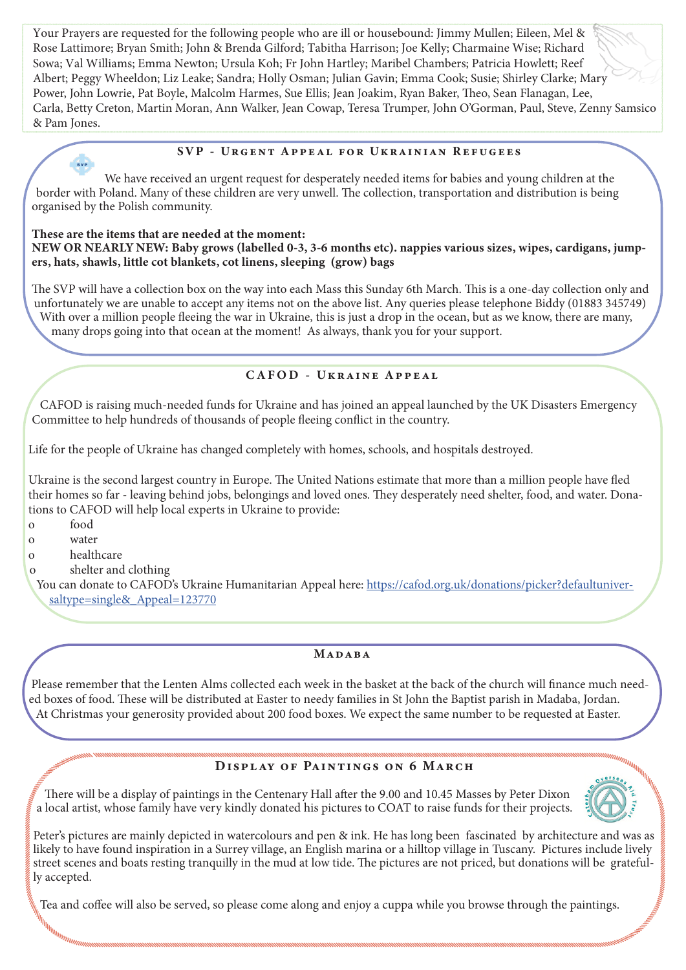Your Prayers are requested for the following people who are ill or housebound: Jimmy Mullen; Eileen, Mel & Rose Lattimore; Bryan Smith; John & Brenda Gilford; Tabitha Harrison; Joe Kelly; Charmaine Wise; Richard Sowa; Val Williams; Emma Newton; Ursula Koh; Fr John Hartley; Maribel Chambers; Patricia Howlett; Reef Albert; Peggy Wheeldon; Liz Leake; Sandra; Holly Osman; Julian Gavin; Emma Cook; Susie; Shirley Clarke; Mary Power, John Lowrie, Pat Boyle, Malcolm Harmes, Sue Ellis; Jean Joakim, Ryan Baker, Theo, Sean Flanagan, Lee, Carla, Betty Creton, Martin Moran, Ann Walker, Jean Cowap, Teresa Trumper, John O'Gorman, Paul, Steve, Zenny Samsico & Pam Jones.

# SVP - Urgent Appeal for Ukrainian Refugees

We have received an urgent request for desperately needed items for babies and young children at the border with Poland. Many of these children are very unwell. The collection, transportation and distribution is being organised by the Polish community.

### These are the items that are needed at the moment: NEW OR NEARLY NEW: Baby grows (labelled 0-3, 3-6 months etc). nappies various sizes, wipes, cardigans, jumpers, hats, shawls, little cot blankets, cot linens, sleeping (grow) bags

The SVP will have a collection box on the way into each Mass this Sunday 6th March. This is a one-day collection only and unfortunately we are unable to accept any items not on the above list. Any queries please telephone Biddy (01883 345749) With over a million people fleeing the war in Ukraine, this is just a drop in the ocean, but as we know, there are many, many drops going into that ocean at the moment! As always, thank you for your support.

# CAFOD - Ukraine Appeal

CAFOD is raising much-needed funds for Ukraine and has joined an appeal launched by the UK Disasters Emergency Committee to help hundreds of thousands of people fleeing conflict in the country.

Life for the people of Ukraine has changed completely with homes, schools, and hospitals destroyed.

Ukraine is the second largest country in Europe. The United Nations estimate that more than a million people have fled their homes so far - leaving behind jobs, belongings and loved ones. They desperately need shelter, food, and water. Donations to CAFOD will help local experts in Ukraine to provide:

- o food
- o water
- o healthcare

 $\frac{1}{8}$ 

o shelter and clothing

You can donate to CAFOD's Ukraine Humanitarian Appeal here: https://cafod.org.uk/donations/picker?defaultuniversaltype=single&\_Appeal=123770

# **MADARA**

Please remember that the Lenten Alms collected each week in the basket at the back of the church will finance much needed boxes of food. These will be distributed at Easter to needy families in St John the Baptist parish in Madaba, Jordan. At Christmas your generosity provided about 200 food boxes. We expect the same number to be requested at Easter.

# DISPLAY OF PAINTINGS ON 6 MARCH

There will be a display of paintings in the Centenary Hall after the 9.00 and 10.45 Masses by Peter Dixon a local artist, whose family have very kindly donated his pictures to COAT to raise funds for their projects.



Peter's pictures are mainly depicted in watercolours and pen & ink. He has long been fascinated by architecture and was as likely to have found inspiration in a Surrey village, an English marina or a hilltop village in Tuscany. Pictures include lively street scenes and boats resting tranquilly in the mud at low tide. The pictures are not priced, but donations will be gratefully accepted.

Tea and coffee will also be served, so please come along and enjoy a cuppa while you browse through the paintings.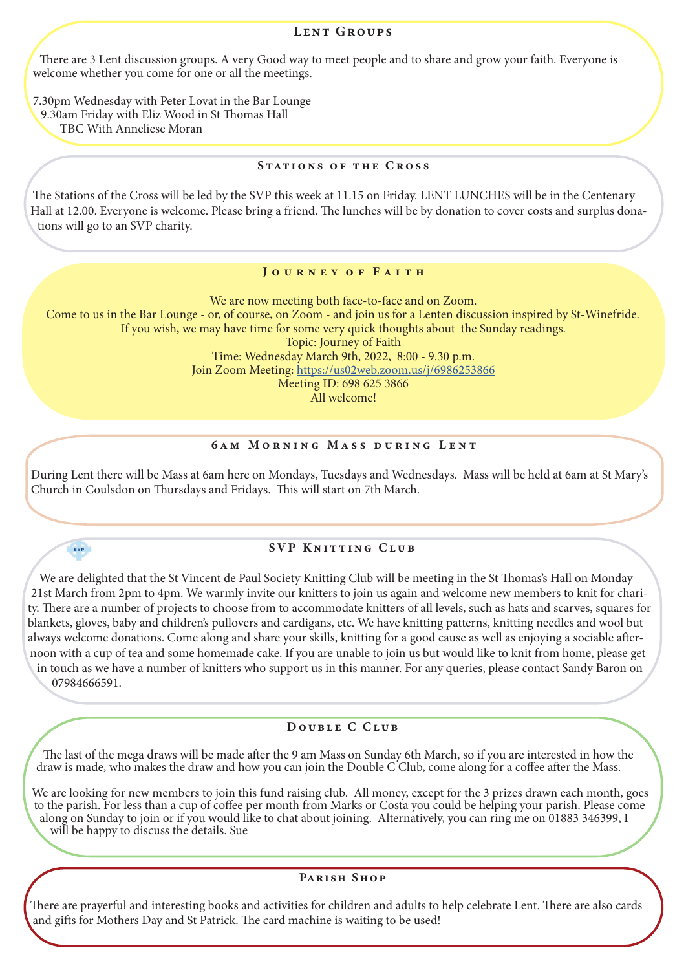#### LENT GROUPS

There are 3 Lent discussion groups. A very Good way to meet people and to share and grow your faith. Everyone is welcome whether you come for one or all the meetings.

7.30pm Wednesday with Peter Lovat in the Bar Lounge 9.30am Friday with Eliz Wood in St Thomas Hall

TBC With Anneliese Moran

#### STATIONS OF THE CROSS

The Stations of the Cross will be led by the SVP this week at 11.15 on Friday. LENT LUNCHES will be in the Centenary Hall at 12.00. Everyone is welcome. Please bring a friend. The lunches will be by donation to cover costs and surplus donations will go to an SVP charity.

#### JOURNEY OF FAITH

We are now meeting both face-to-face and on Zoom. Come to us in the Bar Lounge - or, of course, on Zoom - and join us for a Lenten discussion inspired by St-Winefride. If you wish, we may have time for some very quick thoughts about the Sunday readings. Topic: Journey of Faith Time: Wednesday March 9th, 2022, 8:00 - 9.30 p.m. Join Zoom Meeting: https://us02web.zoom.us/j/6986253866 Meeting ID: 698 625 3866

All welcome!

#### 6am Morning Mass during Lent

During Lent there will be Mass at 6am here on Mondays, Tuesdays and Wednesdays. Mass will be held at 6am at St Mary's Church in Coulsdon on Thursdays and Fridays. This will start on 7th March.

# $\overline{\text{svp}}$

# SVP KNITTING CLUB

We are delighted that the St Vincent de Paul Society Knitting Club will be meeting in the St Thomas's Hall on Monday 21st March from 2pm to 4pm. We warmly invite our knitters to join us again and welcome new members to knit for charity. There are a number of projects to choose from to accommodate knitters of all levels, such as hats and scarves, squares for blankets, gloves, baby and children's pullovers and cardigans, etc. We have knitting patterns, knitting needles and wool but always welcome donations. Come along and share your skills, knitting for a good cause as well as enjoying a sociable afternoon with a cup of tea and some homemade cake. If you are unable to join us but would like to knit from home, please get in touch as we have a number of knitters who support us in this manner. For any queries, please contact Sandy Baron on

07984666591.

#### DOUBLE C CLUB

The last of the mega draws will be made after the 9 am Mass on Sunday 6th March, so if you are interested in how the draw is made, who makes the draw and how you can join the Double C'Club, come along for a coffee after the Mass.

We are looking for new members to join this fund raising club. All money, except for the 3 prizes drawn each month, goes to the parish. For less than a cup of coffee per month from Marks or Costa you could be helping your parish. Please come along on Sunday to join or if you would like to chat about joining. Alternatively, you can ring me on 01883 346399, I will be happy to discuss the details. Sue

# Parish Shop

There are prayerful and interesting books and activities for children and adults to help celebrate Lent. There are also cards and gifts for Mothers Day and St Patrick. The card machine is waiting to be used!